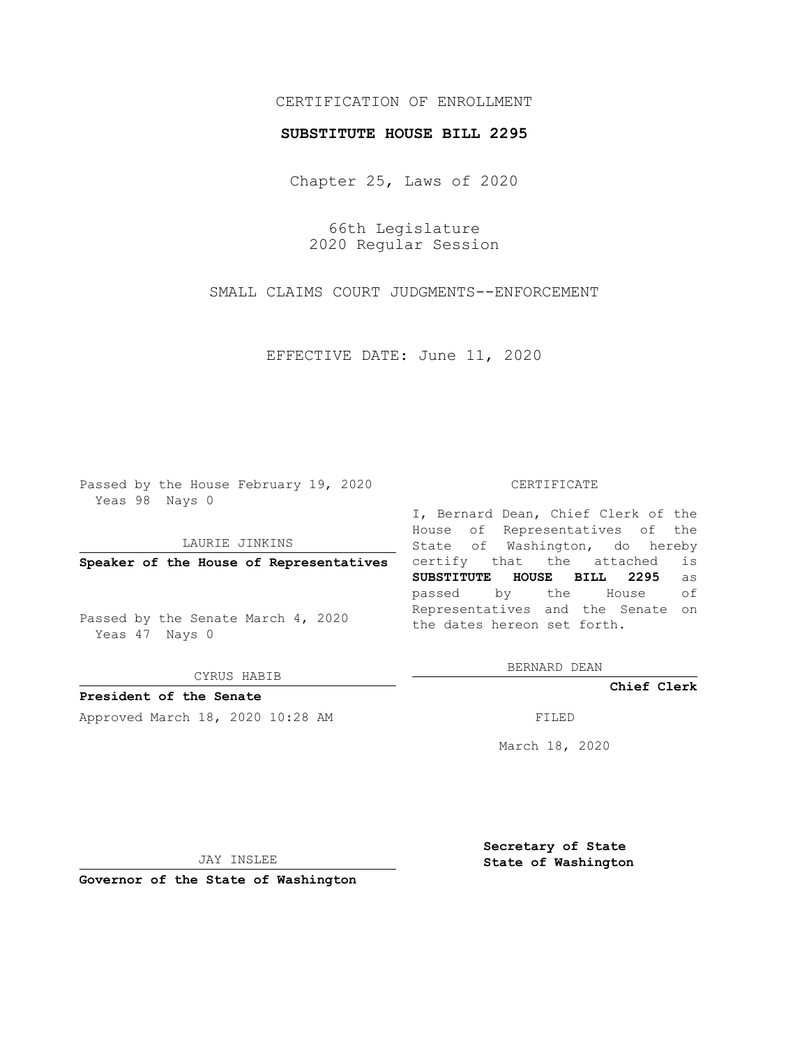## CERTIFICATION OF ENROLLMENT

## **SUBSTITUTE HOUSE BILL 2295**

Chapter 25, Laws of 2020

66th Legislature 2020 Regular Session

SMALL CLAIMS COURT JUDGMENTS--ENFORCEMENT

EFFECTIVE DATE: June 11, 2020

Passed by the House February 19, 2020 Yeas 98 Nays 0

LAURIE JINKINS

**Speaker of the House of Representatives**

Passed by the Senate March 4, 2020 Yeas 47 Nays 0

CYRUS HABIB

**President of the Senate**

Approved March 18, 2020 10:28 AM FILED

## CERTIFICATE

I, Bernard Dean, Chief Clerk of the House of Representatives of the State of Washington, do hereby certify that the attached is **SUBSTITUTE HOUSE BILL 2295** as passed by the House of Representatives and the Senate on the dates hereon set forth.

BERNARD DEAN

**Chief Clerk**

March 18, 2020

JAY INSLEE

**Governor of the State of Washington**

**Secretary of State State of Washington**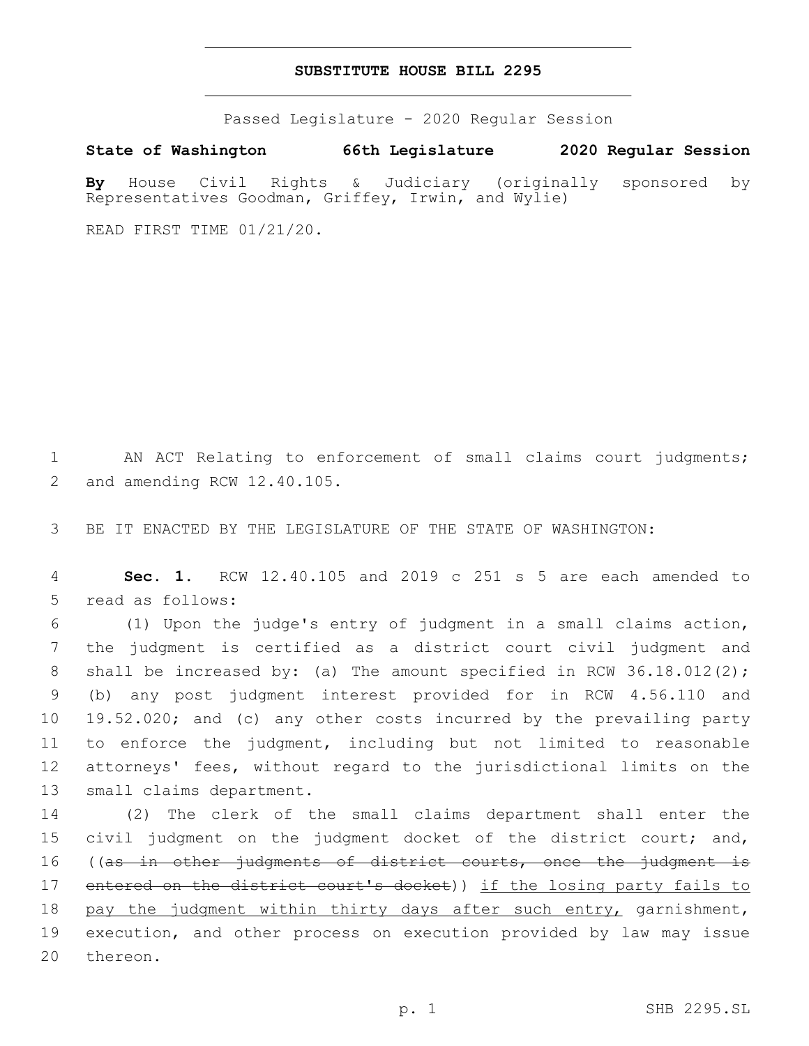## **SUBSTITUTE HOUSE BILL 2295**

Passed Legislature - 2020 Regular Session

**State of Washington 66th Legislature 2020 Regular Session**

**By** House Civil Rights & Judiciary (originally sponsored by Representatives Goodman, Griffey, Irwin, and Wylie)

READ FIRST TIME 01/21/20.

1 AN ACT Relating to enforcement of small claims court judgments; 2 and amending RCW 12.40.105.

3 BE IT ENACTED BY THE LEGISLATURE OF THE STATE OF WASHINGTON:

4 **Sec. 1.** RCW 12.40.105 and 2019 c 251 s 5 are each amended to 5 read as follows:

 (1) Upon the judge's entry of judgment in a small claims action, the judgment is certified as a district court civil judgment and 8 shall be increased by: (a) The amount specified in RCW 36.18.012(2); (b) any post judgment interest provided for in RCW 4.56.110 and 19.52.020; and (c) any other costs incurred by the prevailing party to enforce the judgment, including but not limited to reasonable attorneys' fees, without regard to the jurisdictional limits on the 13 small claims department.

14 (2) The clerk of the small claims department shall enter the 15 civil judgment on the judgment docket of the district court; and, 16 ((as in other judgments of district courts, once the judgment is 17 entered on the district court's docket)) if the losing party fails to 18 pay the judgment within thirty days after such entry, garnishment, 19 execution, and other process on execution provided by law may issue 20 thereon.